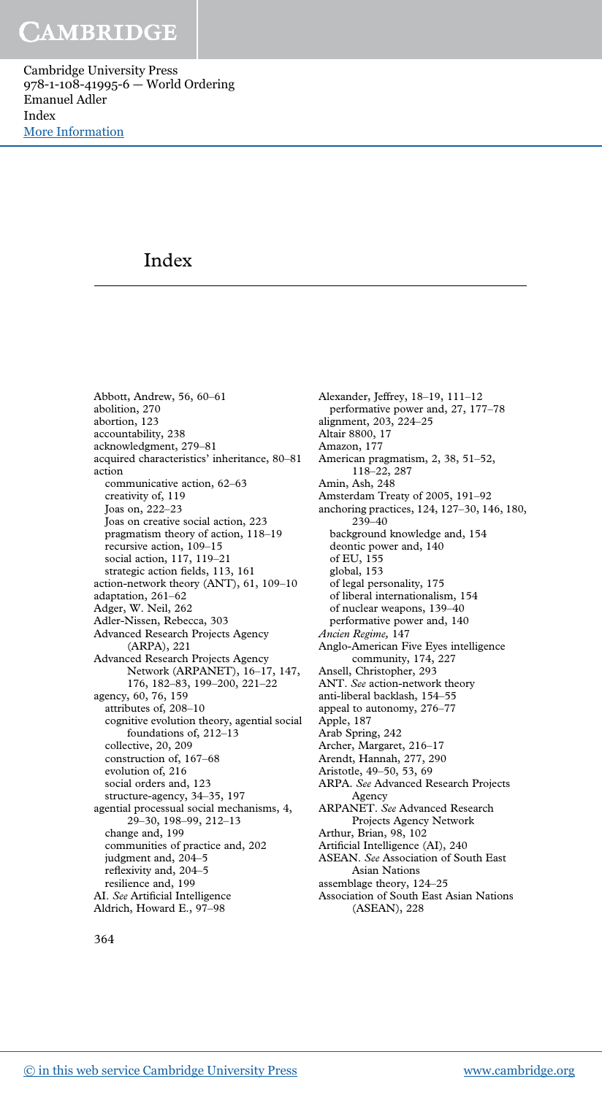Cambridge University Press 978-1-108-41995-6 — World Ordering Emanuel Adler Index [More Information](www.cambridge.org/9781108419956)

### Index

Abbott, Andrew, 56, 60–61 abolition, 270 abortion, 123 accountability, 238 acknowledgment, 279–81 acquired characteristics' inheritance, 80–81 action communicative action, 62–63 creativity of, 119 Joas on, 222–23 Joas on creative social action, 223 pragmatism theory of action, 118–19 recursive action, 109–15 social action, 117, 119–21 strategic action fields, 113, 161 action-network theory (ANT), 61, 109–10 adaptation, 261–62 Adger, W. Neil, 262 Adler-Nissen, Rebecca, 303 Advanced Research Projects Agency (ARPA), 221 Advanced Research Projects Agency Network (ARPANET), 16–17, 147, 176, 182–83, 199–200, 221–22 agency, 60, 76, 159 attributes of, 208–10 cognitive evolution theory, agential social foundations of, 212–13 collective, 20, 209 construction of, 167–68 evolution of, 216 social orders and, 123 structure-agency, 34–35, 197 agential processual social mechanisms, 4, 29–30, 198–99, 212–13 change and, 199 communities of practice and, 202 judgment and, 204–5 reflexivity and, 204–5 resilience and, 199 AI. *See* Artificial Intelligence Aldrich, Howard E., 97–98

Alexander, Jeffrey, 18–19, 111–12 performative power and, 27, 177–78 alignment, 203, 224–25 Altair 8800, 17 Amazon, 177 American pragmatism, 2, 38, 51–52, 118–22, 287 Amin, Ash, 248 Amsterdam Treaty of 2005, 191–92 anchoring practices, 124, 127–30, 146, 180, 239–40 background knowledge and, 154 deontic power and, 140 of EU, 155 global, 153 of legal personality, 175 of liberal internationalism, 154 of nuclear weapons, 139–40 performative power and, 140 *Ancien Regime,* 147 Anglo-American Five Eyes intelligence community, 174, 227 Ansell, Christopher, 293 ANT. *See* action-network theory anti-liberal backlash, 154–55 appeal to autonomy, 276–77 Apple, 187 Arab Spring, 242 Archer, Margaret, 216–17 Arendt, Hannah, 277, 290 Aristotle, 49–50, 53, 69 ARPA. *See* Advanced Research Projects Agency ARPANET. *See* Advanced Research Projects Agency Network Arthur, Brian, 98, 102 Artificial Intelligence (AI), 240 ASEAN. *See* Association of South East Asian Nations assemblage theory, 124–25 Association of South East Asian Nations (ASEAN), 228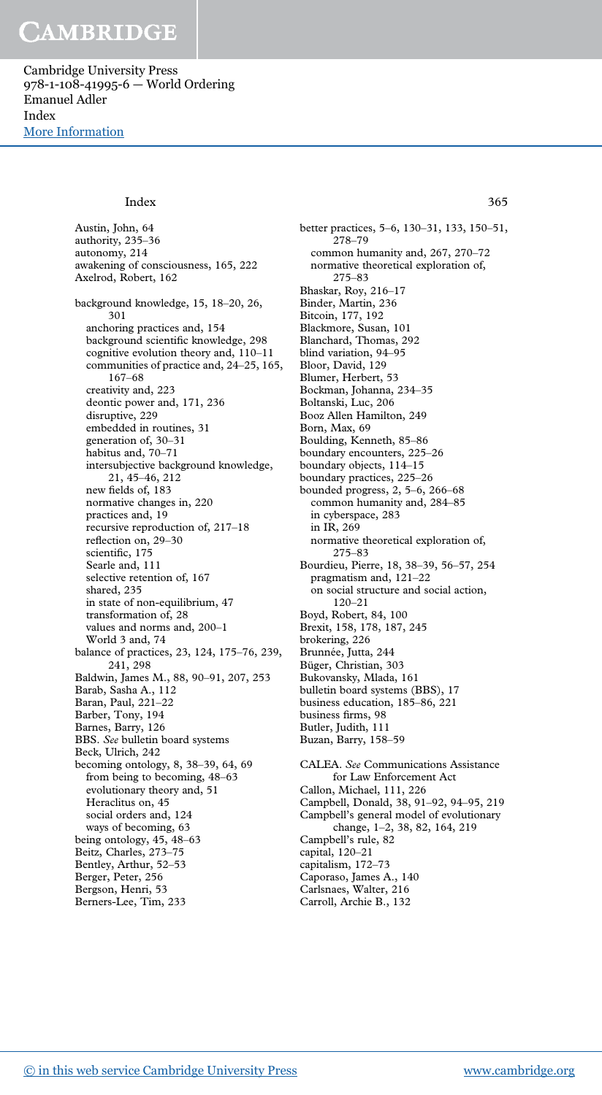Cambridge University Press 978-1-108-41995-6 — World Ordering Emanuel Adler Index [More Information](www.cambridge.org/9781108419956)

#### Index 365

Austin, John, 64 authority, 235–36 autonomy, 214 awakening of consciousness, 165, 222 Axelrod, Robert, 162 background knowledge, 15, 18–20, 26, 301 anchoring practices and, 154 background scientific knowledge, 298 cognitive evolution theory and, 110–11 communities of practice and, 24–25, 165, 167–68 creativity and, 223 deontic power and, 171, 236 disruptive, 229 embedded in routines, 31 generation of, 30–31 habitus and, 70–71 intersubjective background knowledge, 21, 45–46, 212 new fields of, 183 normative changes in, 220 practices and, 19 recursive reproduction of, 217–18 reflection on, 29–30 scientific, 175 Searle and, 111 selective retention of, 167 shared, 235 in state of non-equilibrium, 47 transformation of, 28 values and norms and, 200–1 World 3 and, 74 balance of practices, 23, 124, 175–76, 239, 241, 298 Baldwin, James M., 88, 90–91, 207, 253 Barab, Sasha A., 112 Baran, Paul, 221–22 Barber, Tony, 194 Barnes, Barry, 126 BBS. *See* bulletin board systems Beck, Ulrich, 242 becoming ontology, 8, 38–39, 64, 69 from being to becoming, 48–63 evolutionary theory and, 51 Heraclitus on, 45 social orders and, 124 ways of becoming, 63 being ontology, 45, 48–63 Beitz, Charles, 273–75 Bentley, Arthur, 52–53 Berger, Peter, 256 Bergson, Henri, 53 Berners-Lee, Tim, 233

better practices, 5–6, 130–31, 133, 150–51, 278–79 common humanity and, 267, 270–72 normative theoretical exploration of, 275–83 Bhaskar, Roy, 216–17 Binder, Martin, 236 Bitcoin, 177, 192 Blackmore, Susan, 101 Blanchard, Thomas, 292 blind variation, 94–95 Bloor, David, 129 Blumer, Herbert, 53 Bockman, Johanna, 234–35 Boltanski, Luc, 206 Booz Allen Hamilton, 249 Born, Max, 69 Boulding, Kenneth, 85–86 boundary encounters, 225–26 boundary objects, 114–15 boundary practices, 225–26 bounded progress, 2, 5–6, 266–68 common humanity and, 284–85 in cyberspace, 283 in IR, 269 normative theoretical exploration of, 275–83 Bourdieu, Pierre, 18, 38–39, 56–57, 254 pragmatism and, 121–22 on social structure and social action, 120–21 Boyd, Robert, 84, 100 Brexit, 158, 178, 187, 245 brokering, 226 Brunnée, Jutta, 244 Büger, Christian, 303 Bukovansky, Mlada, 161 bulletin board systems (BBS), 17 business education, 185–86, 221 business firms, 98 Butler, Judith, 111 Buzan, Barry, 158–59 CALEA. *See* Communications Assistance for Law Enforcement Act Callon, Michael, 111, 226 Campbell, Donald, 38, 91–92, 94–95, 219 Campbell's general model of evolutionary change, 1–2, 38, 82, 164, 219 Campbell's rule, 82 capital, 120–21 capitalism, 172–73 Caporaso, James A., 140 Carlsnaes, Walter, 216 Carroll, Archie B., 132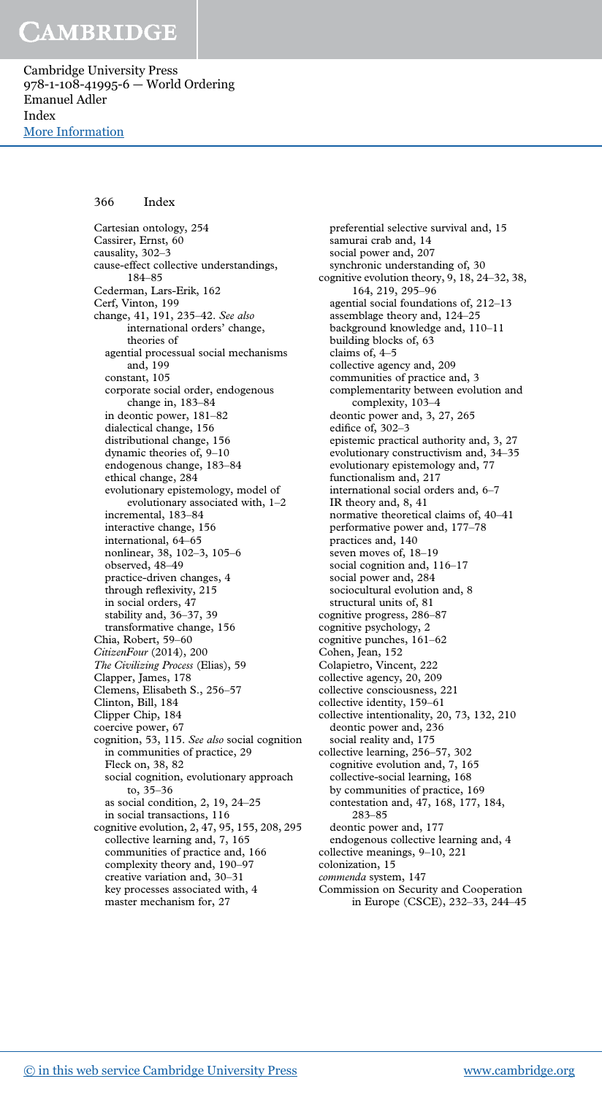Cambridge University Press 978-1-108-41995-6 — World Ordering Emanuel Adler Index [More Information](www.cambridge.org/9781108419956)

### 366 Index

Cartesian ontology, 254 Cassirer, Ernst, 60 causality, 302–3 cause-effect collective understandings, 184–85 Cederman, Lars-Erik, 162 Cerf, Vinton, 199 change, 41, 191, 235–42. *See also* international orders' change, theories of agential processual social mechanisms and, 199 constant, 105 corporate social order, endogenous change in, 183–84 in deontic power, 181–82 dialectical change, 156 distributional change, 156 dynamic theories of, 9–10 endogenous change, 183–84 ethical change, 284 evolutionary epistemology, model of evolutionary associated with, 1–2 incremental, 183–84 interactive change, 156 international, 64–65 nonlinear, 38, 102–3, 105–6 observed, 48–49 practice-driven changes, 4 through reflexivity, 215 in social orders, 47 stability and, 36–37, 39 transformative change, 156 Chia, Robert, 59–60 *CitizenFour* (2014), 200 *The Civilizing Process* (Elias), 59 Clapper, James, 178 Clemens, Elisabeth S., 256–57 Clinton, Bill, 184 Clipper Chip, 184 coercive power, 67 cognition, 53, 115. *See also* social cognition in communities of practice, 29 Fleck on, 38, 82 social cognition, evolutionary approach to, 35–36 as social condition, 2, 19, 24–25 in social transactions, 116 cognitive evolution, 2, 47, 95, 155, 208, 295 collective learning and, 7, 165 communities of practice and, 166 complexity theory and, 190–97 creative variation and, 30–31 key processes associated with, 4 master mechanism for, 27

preferential selective survival and, 15 samurai crab and, 14 social power and, 207 synchronic understanding of, 30 cognitive evolution theory, 9, 18, 24–32, 38, 164, 219, 295–96 agential social foundations of, 212–13 assemblage theory and, 124–25 background knowledge and, 110–11 building blocks of, 63 claims of, 4–5 collective agency and, 209 communities of practice and, 3 complementarity between evolution and complexity, 103–4 deontic power and, 3, 27, 265 edifice of, 302–3 epistemic practical authority and, 3, 27 evolutionary constructivism and, 34–35 evolutionary epistemology and, 77 functionalism and, 217 international social orders and, 6–7 IR theory and, 8, 41 normative theoretical claims of, 40–41 performative power and, 177–78 practices and, 140 seven moves of, 18–19 social cognition and, 116–17 social power and, 284 sociocultural evolution and, 8 structural units of, 81 cognitive progress, 286–87 cognitive psychology, 2 cognitive punches, 161–62 Cohen, Jean, 152 Colapietro, Vincent, 222 collective agency, 20, 209 collective consciousness, 221 collective identity, 159–61 collective intentionality, 20, 73, 132, 210 deontic power and, 236 social reality and, 175 collective learning, 256–57, 302 cognitive evolution and, 7, 165 collective-social learning, 168 by communities of practice, 169 contestation and, 47, 168, 177, 184, 283–85 deontic power and, 177 endogenous collective learning and, 4 collective meanings, 9–10, 221 colonization, 15 *commenda* system, 147 Commission on Security and Cooperation in Europe (CSCE), 232–33, 244–45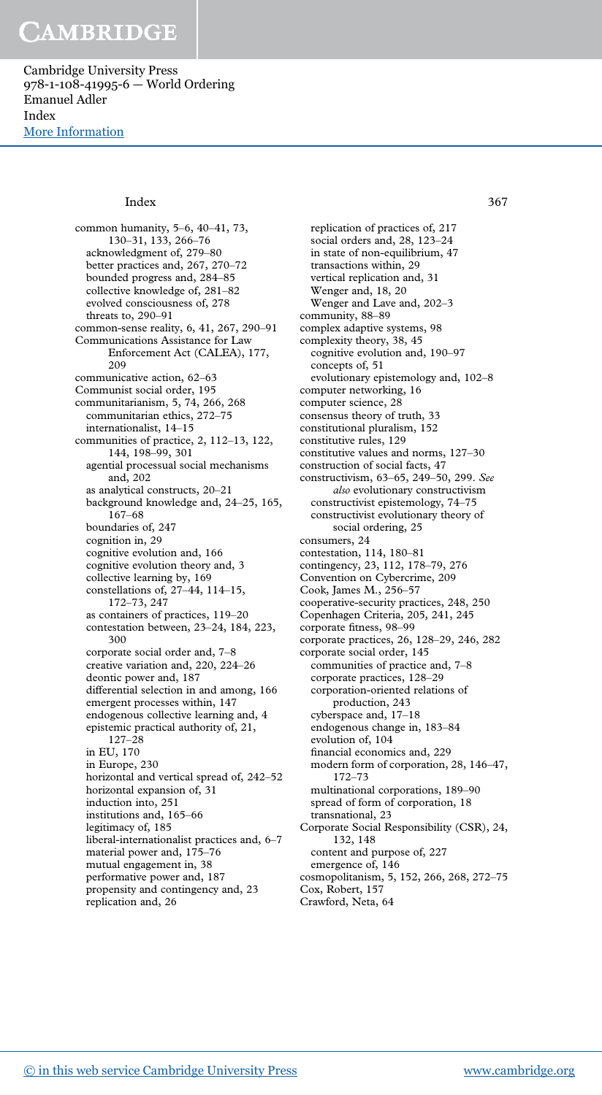Cambridge University Press 978-1-108-41995-6 — World Ordering Emanuel Adler Index [More Information](www.cambridge.org/9781108419956)

common humanity, 5–6, 40–41, 73, 130–31, 133, 266–76 acknowledgment of, 279–80 better practices and, 267, 270–72 bounded progress and, 284–85 collective knowledge of, 281–82 evolved consciousness of, 278 threats to, 290–91 common-sense reality, 6, 41, 267, 290–91 Communications Assistance for Law Enforcement Act (CALEA), 177, 209 communicative action, 62–63 Communist social order, 195 communitarianism, 5, 74, 266, 268 communitarian ethics, 272–75 internationalist, 14–15 communities of practice, 2, 112–13, 122, 144, 198–99, 301 agential processual social mechanisms and, 202 as analytical constructs, 20–21 background knowledge and, 24–25, 165, 167–68 boundaries of, 247 cognition in, 29 cognitive evolution and, 166 cognitive evolution theory and, 3 collective learning by, 169 constellations of, 27–44, 114–15, 172–73, 247 as containers of practices, 119–20 contestation between, 23–24, 184, 223, 300 corporate social order and, 7–8 creative variation and, 220, 224–26 deontic power and, 187 differential selection in and among, 166 emergent processes within, 147 endogenous collective learning and, 4 epistemic practical authority of, 21, 127–28 in EU, 170 in Europe, 230 horizontal and vertical spread of, 242–52 horizontal expansion of, 31 induction into, 251 institutions and, 165–66 legitimacy of, 185 liberal-internationalist practices and, 6–7 material power and, 175–76 mutual engagement in, 38 performative power and, 187 propensity and contingency and, 23 replication and, 26

replication of practices of, 217 social orders and, 28, 123–24 in state of non-equilibrium, 47 transactions within, 29 vertical replication and, 31 Wenger and, 18, 20 Wenger and Lave and, 202–3 community, 88–89 complex adaptive systems, 98 complexity theory, 38, 45 cognitive evolution and, 190–97 concepts of, 51 evolutionary epistemology and, 102–8 computer networking, 16 computer science, 28 consensus theory of truth, 33 constitutional pluralism, 152 constitutive rules, 129 constitutive values and norms, 127–30 construction of social facts, 47 constructivism, 63–65, 249–50, 299. *See also* evolutionary constructivism constructivist epistemology, 74–75 constructivist evolutionary theory of social ordering, 25 consumers, 24 contestation, 114, 180–81 contingency, 23, 112, 178–79, 276 Convention on Cybercrime, 209 Cook, James M., 256–57 cooperative-security practices, 248, 250 Copenhagen Criteria, 205, 241, 245 corporate fitness, 98–99 corporate practices, 26, 128–29, 246, 282 corporate social order, 145 communities of practice and, 7–8 corporate practices, 128–29 corporation-oriented relations of production, 243 cyberspace and, 17–18 endogenous change in, 183–84 evolution of, 104 financial economics and, 229 modern form of corporation, 28, 146–47, 172–73 multinational corporations, 189–90 spread of form of corporation, 18 transnational, 23 Corporate Social Responsibility (CSR), 24, 132, 148 content and purpose of, 227 emergence of, 146 cosmopolitanism, 5, 152, 266, 268, 272–75 Cox, Robert, 157 Index 367

Crawford, Neta, 64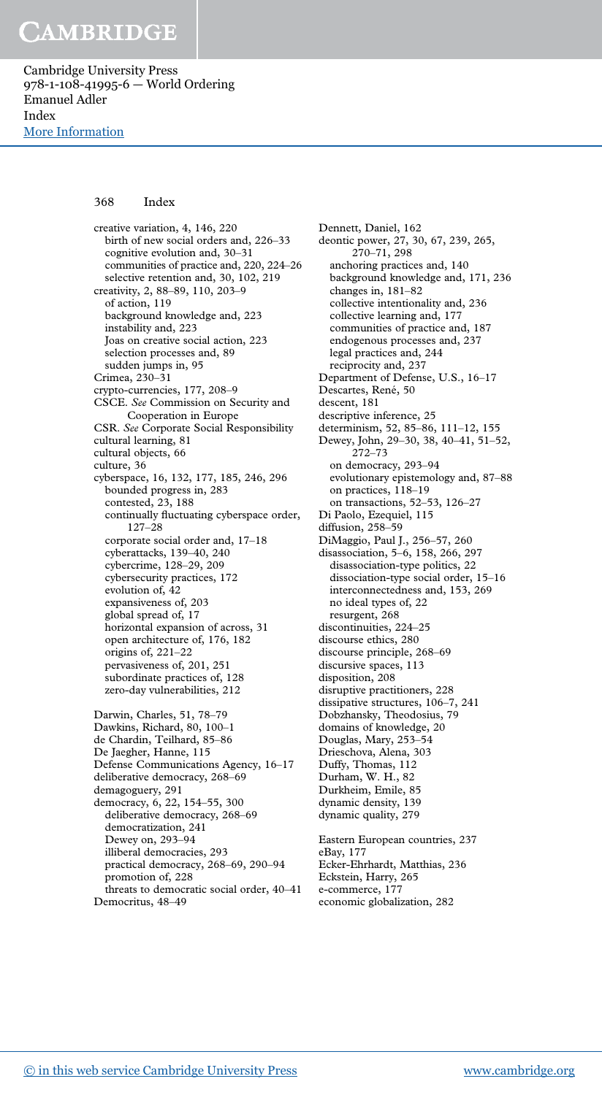Cambridge University Press 978-1-108-41995-6 — World Ordering Emanuel Adler Index [More Information](www.cambridge.org/9781108419956)

### 368 Index

creative variation, 4, 146, 220 birth of new social orders and, 226–33 cognitive evolution and, 30–31 communities of practice and, 220, 224–26 selective retention and, 30, 102, 219 creativity, 2, 88–89, 110, 203–9 of action, 119 background knowledge and, 223 instability and, 223 Joas on creative social action, 223 selection processes and, 89 sudden jumps in, 95 Crimea, 230–31 crypto-currencies, 177, 208–9 CSCE. *See* Commission on Security and Cooperation in Europe CSR. *See* Corporate Social Responsibility cultural learning, 81 cultural objects, 66 culture, 36 cyberspace, 16, 132, 177, 185, 246, 296 bounded progress in, 283 contested, 23, 188 continually fluctuating cyberspace order, 127–28 corporate social order and, 17–18 cyberattacks, 139–40, 240 cybercrime, 128–29, 209 cybersecurity practices, 172 evolution of, 42 expansiveness of, 203 global spread of, 17 horizontal expansion of across, 31 open architecture of, 176, 182 origins of, 221–22 pervasiveness of, 201, 251 subordinate practices of, 128 zero-day vulnerabilities, 212 Darwin, Charles, 51, 78–79 Dawkins, Richard, 80, 100–1 de Chardin, Teilhard, 85–86

De Jaegher, Hanne, 115 Defense Communications Agency, 16–17 deliberative democracy, 268–69 demagoguery, 291 democracy, 6, 22, 154–55, 300 deliberative democracy, 268–69 democratization, 241 Dewey on, 293–94 illiberal democracies, 293 practical democracy, 268–69, 290–94 promotion of, 228 threats to democratic social order, 40–41 Democritus, 48–49

Dennett, Daniel, 162 deontic power, 27, 30, 67, 239, 265, 270–71, 298 anchoring practices and, 140 background knowledge and, 171, 236 changes in, 181–82 collective intentionality and, 236 collective learning and, 177 communities of practice and, 187 endogenous processes and, 237 legal practices and, 244 reciprocity and, 237 Department of Defense, U.S., 16–17 Descartes, René, 50 descent, 181 descriptive inference, 25 determinism, 52, 85–86, 111–12, 155 Dewey, John, 29–30, 38, 40–41, 51–52, 272–73 on democracy, 293–94 evolutionary epistemology and, 87–88 on practices, 118–19 on transactions, 52–53, 126–27 Di Paolo, Ezequiel, 115 diffusion, 258–59 DiMaggio, Paul J., 256–57, 260 disassociation, 5–6, 158, 266, 297 disassociation-type politics, 22 dissociation-type social order, 15–16 interconnectedness and, 153, 269 no ideal types of, 22 resurgent, 268 discontinuities, 224–25 discourse ethics, 280 discourse principle, 268–69 discursive spaces, 113 disposition, 208 disruptive practitioners, 228 dissipative structures, 106–7, 241 Dobzhansky, Theodosius, 79 domains of knowledge, 20 Douglas, Mary, 253–54 Drieschova, Alena, 303 Duffy, Thomas, 112 Durham, W. H., 82 Durkheim, Emile, 85 dynamic density, 139 dynamic quality, 279 Eastern European countries, 237 eBay, 177 Ecker-Ehrhardt, Matthias, 236 Eckstein, Harry, 265

e-commerce, 177 economic globalization, 282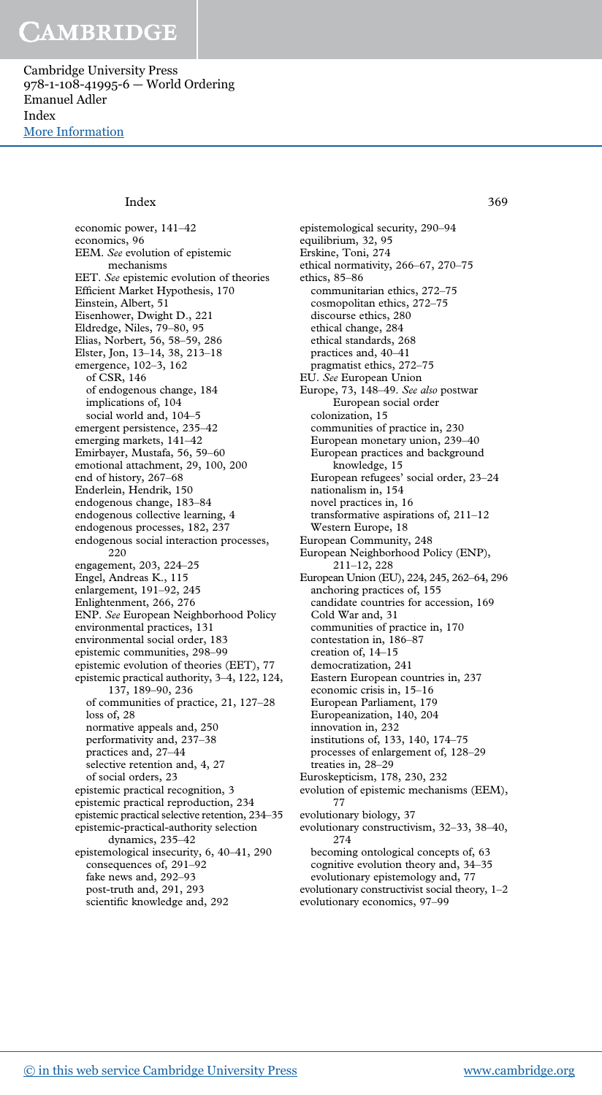Cambridge University Press 978-1-108-41995-6 — World Ordering Emanuel Adler Index [More Information](www.cambridge.org/9781108419956)

#### Index 369

economic power, 141–42 economics, 96 EEM. *See* evolution of epistemic mechanisms EET. *See* epistemic evolution of theories Efficient Market Hypothesis, 170 Einstein, Albert, 51 Eisenhower, Dwight D., 221 Eldredge, Niles, 79–80, 95 Elias, Norbert, 56, 58–59, 286 Elster, Jon, 13–14, 38, 213–18 emergence, 102–3, 162 of CSR, 146 of endogenous change, 184 implications of, 104 social world and, 104–5 emergent persistence, 235–42 emerging markets, 141–42 Emirbayer, Mustafa, 56, 59–60 emotional attachment, 29, 100, 200 end of history, 267–68 Enderlein, Hendrik, 150 endogenous change, 183–84 endogenous collective learning, 4 endogenous processes, 182, 237 endogenous social interaction processes, 220 engagement, 203, 224–25 Engel, Andreas K., 115 enlargement, 191–92, 245 Enlightenment, 266, 276 ENP. *See* European Neighborhood Policy environmental practices, 131 environmental social order, 183 epistemic communities, 298–99 epistemic evolution of theories (EET), 77 epistemic practical authority, 3–4, 122, 124, 137, 189–90, 236 of communities of practice, 21, 127–28 loss of, 28 normative appeals and, 250 performativity and, 237–38 practices and, 27–44 selective retention and, 4, 27 of social orders, 23 epistemic practical recognition, 3 epistemic practical reproduction, 234 epistemic practical selective retention, 234–35 epistemic-practical-authority selection dynamics, 235–42 epistemological insecurity, 6, 40–41, 290 consequences of, 291–92 fake news and, 292–93 post-truth and, 291, 293 scientific knowledge and, 292

epistemological security, 290–94 equilibrium, 32, 95 Erskine, Toni, 274 ethical normativity, 266–67, 270–75 ethics, 85–86 communitarian ethics, 272–75 cosmopolitan ethics, 272–75 discourse ethics, 280 ethical change, 284 ethical standards, 268 practices and, 40–41 pragmatist ethics, 272–75 EU. *See* European Union Europe, 73, 148–49. *See also* postwar European social order colonization, 15 communities of practice in, 230 European monetary union, 239–40 European practices and background knowledge, 15 European refugees' social order, 23–24 nationalism in, 154 novel practices in, 16 transformative aspirations of, 211–12 Western Europe, 18 European Community, 248 European Neighborhood Policy (ENP), 211–12, 228 European Union (EU), 224, 245, 262–64, 296 anchoring practices of, 155 candidate countries for accession, 169 Cold War and, 31 communities of practice in, 170 contestation in, 186–87 creation of, 14–15 democratization, 241 Eastern European countries in, 237 economic crisis in, 15–16 European Parliament, 179 Europeanization, 140, 204 innovation in, 232 institutions of, 133, 140, 174–75 processes of enlargement of, 128–29 treaties in, 28–29 Euroskepticism, 178, 230, 232 evolution of epistemic mechanisms (EEM), 77 evolutionary biology, 37 evolutionary constructivism, 32–33, 38–40, 274 becoming ontological concepts of, 63 cognitive evolution theory and, 34–35 evolutionary epistemology and, 77

evolutionary constructivist social theory, 1–2 evolutionary economics, 97–99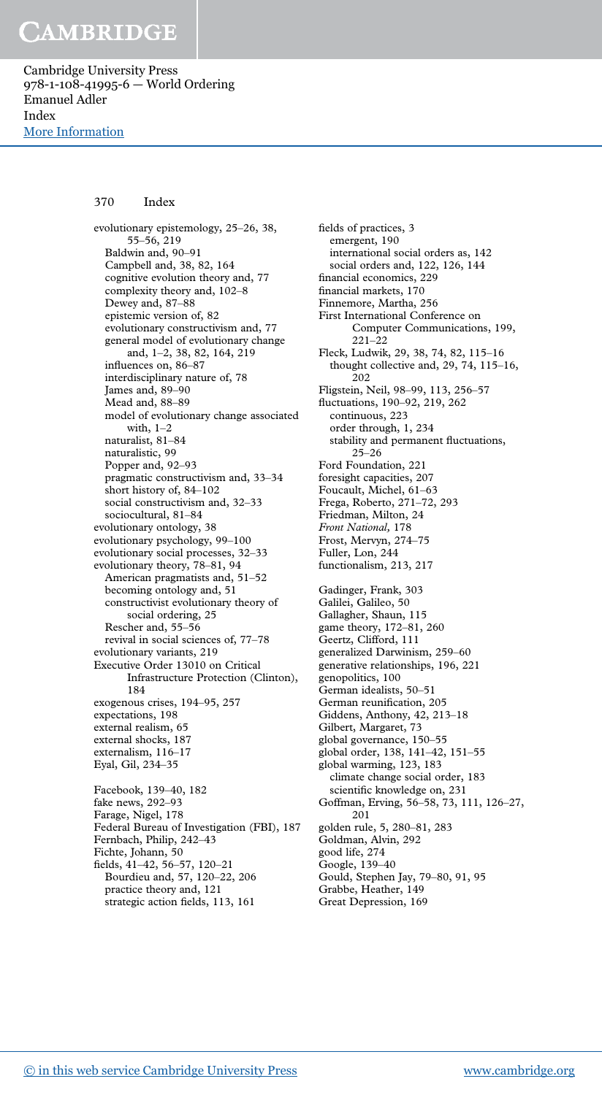Cambridge University Press 978-1-108-41995-6 — World Ordering Emanuel Adler Index [More Information](www.cambridge.org/9781108419956)

#### 370 Index

evolutionary epistemology, 25–26, 38, 55–56, 219 Baldwin and, 90–91 Campbell and, 38, 82, 164 cognitive evolution theory and, 77 complexity theory and, 102–8 Dewey and, 87–88 epistemic version of, 82 evolutionary constructivism and, 77 general model of evolutionary change and, 1–2, 38, 82, 164, 219 influences on, 86–87 interdisciplinary nature of, 78 James and, 89–90 Mead and, 88–89 model of evolutionary change associated with, 1–2 naturalist, 81–84 naturalistic, 99 Popper and, 92–93 pragmatic constructivism and, 33–34 short history of, 84–102 social constructivism and, 32–33 sociocultural, 81–84 evolutionary ontology, 38 evolutionary psychology, 99–100 evolutionary social processes, 32–33 evolutionary theory, 78–81, 94 American pragmatists and, 51–52 becoming ontology and, 51 constructivist evolutionary theory of social ordering, 25 Rescher and, 55–56 revival in social sciences of, 77–78 evolutionary variants, 219 Executive Order 13010 on Critical Infrastructure Protection (Clinton), 184 exogenous crises, 194–95, 257 expectations, 198 external realism, 65 external shocks, 187 externalism, 116–17 Eyal, Gil, 234–35 Facebook, 139–40, 182 fake news, 292–93 Farage, Nigel, 178 Federal Bureau of Investigation (FBI), 187 Fernbach, Philip, 242–43 Fichte, Johann, 50 fields, 41–42, 56–57, 120–21 Bourdieu and, 57, 120–22, 206 practice theory and, 121

fields of practices, 3 emergent, 190 international social orders as, 142 social orders and, 122, 126, 144 financial economics, 229 financial markets, 170 Finnemore, Martha, 256 First International Conference on Computer Communications, 199, 221–22 Fleck, Ludwik, 29, 38, 74, 82, 115–16 thought collective and, 29, 74, 115–16, 202 Fligstein, Neil, 98–99, 113, 256–57 fluctuations, 190–92, 219, 262 continuous, 223 order through, 1, 234 stability and permanent fluctuations, 25–26 Ford Foundation, 221 foresight capacities, 207 Foucault, Michel, 61–63 Frega, Roberto, 271–72, 293 Friedman, Milton, 24 *Front National,* 178 Frost, Mervyn, 274–75 Fuller, Lon, 244 functionalism, 213, 217 Gadinger, Frank, 303 Galilei, Galileo, 50 Gallagher, Shaun, 115 game theory, 172–81, 260 Geertz, Clifford, 111 generalized Darwinism, 259–60 generative relationships, 196, 221 genopolitics, 100 German idealists, 50–51 German reunification, 205 Giddens, Anthony, 42, 213–18 Gilbert, Margaret, 73 global governance, 150–55 global order, 138, 141–42, 151–55 global warming, 123, 183 climate change social order, 183 scientific knowledge on, 231 Goffman, Erving, 56–58, 73, 111, 126–27, 201 golden rule, 5, 280–81, 283 Goldman, Alvin, 292 good life, 274 Google, 139–40 Gould, Stephen Jay, 79–80, 91, 95 Grabbe, Heather, 149 Great Depression, 169

strategic action fields, 113, 161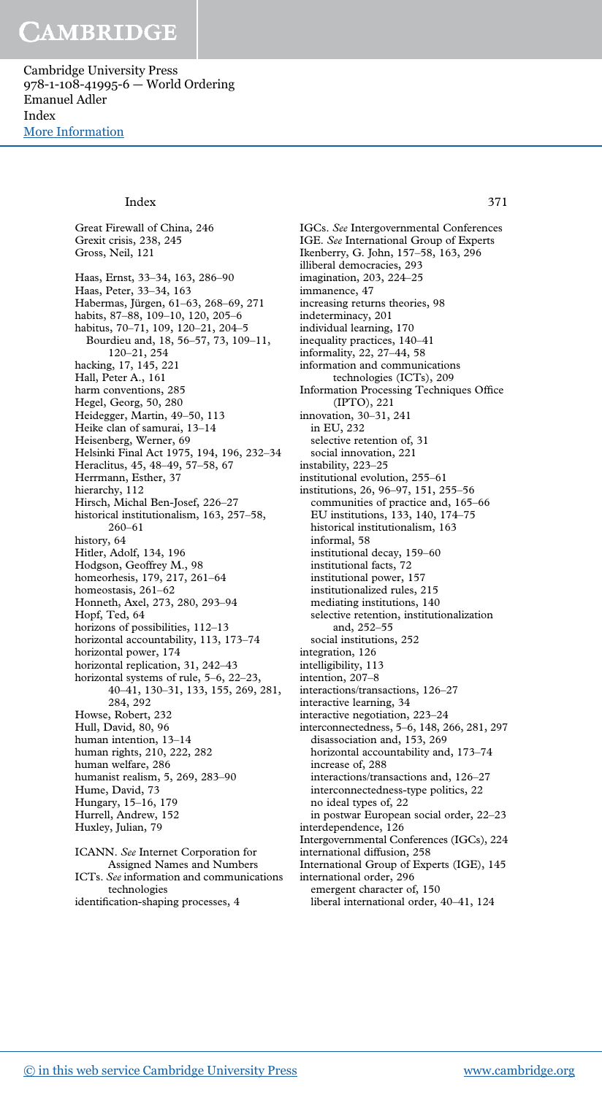Cambridge University Press 978-1-108-41995-6 — World Ordering Emanuel Adler Index [More Information](www.cambridge.org/9781108419956)

#### Index 371

Great Firewall of China, 246 Grexit crisis, 238, 245 Gross, Neil, 121 Haas, Ernst, 33–34, 163, 286–90 Haas, Peter, 33–34, 163 Habermas, Jürgen, 61–63, 268–69, 271 habits, 87–88, 109–10, 120, 205–6 habitus, 70–71, 109, 120–21, 204–5 Bourdieu and, 18, 56–57, 73, 109–11, 120–21, 254 hacking, 17, 145, 221 Hall, Peter A., 161 harm conventions, 285 Hegel, Georg, 50, 280 Heidegger, Martin, 49–50, 113 Heike clan of samurai, 13–14 Heisenberg, Werner, 69 Helsinki Final Act 1975, 194, 196, 232–34 Heraclitus, 45, 48–49, 57–58, 67 Herrmann, Esther, 37 hierarchy, 112 Hirsch, Michal Ben-Josef, 226–27 historical institutionalism, 163, 257–58, 260–61 history, 64 Hitler, Adolf, 134, 196 Hodgson, Geoffrey M., 98 homeorhesis, 179, 217, 261–64 homeostasis, 261–62 Honneth, Axel, 273, 280, 293–94 Hopf, Ted, 64 horizons of possibilities, 112–13 horizontal accountability, 113, 173–74 horizontal power, 174 horizontal replication, 31, 242–43 horizontal systems of rule, 5–6, 22–23, 40–41, 130–31, 133, 155, 269, 281, 284, 292 Howse, Robert, 232 Hull, David, 80, 96 human intention, 13–14 human rights, 210, 222, 282 human welfare, 286 humanist realism, 5, 269, 283–90 Hume, David, 73 Hungary, 15–16, 179 Hurrell, Andrew, 152 Huxley, Julian, 79 ICANN. *See* Internet Corporation for

Assigned Names and Numbers ICTs. *See* information and communications technologies identification-shaping processes, 4

IGCs. *See* Intergovernmental Conferences IGE. *See* International Group of Experts Ikenberry, G. John, 157–58, 163, 296 illiberal democracies, 293 imagination, 203, 224–25 immanence, 47 increasing returns theories, 98 indeterminacy, 201 individual learning, 170 inequality practices, 140–41 informality, 22, 27–44, 58 information and communications technologies (ICTs), 209 Information Processing Techniques Office (IPTO), 221 innovation, 30–31, 241 in EU, 232 selective retention of, 31 social innovation, 221 instability, 223–25 institutional evolution, 255–61 institutions, 26, 96–97, 151, 255–56 communities of practice and, 165–66 EU institutions, 133, 140, 174–75 historical institutionalism, 163 informal, 58 institutional decay, 159–60 institutional facts, 72 institutional power, 157 institutionalized rules, 215 mediating institutions, 140 selective retention, institutionalization and, 252–55 social institutions, 252 integration, 126 intelligibility, 113 intention, 207–8 interactions/transactions, 126–27 interactive learning, 34 interactive negotiation, 223–24 interconnectedness, 5–6, 148, 266, 281, 297

disassociation and, 153, 269 horizontal accountability and, 173–74

interactions/transactions and, 126–27 interconnectedness-type politics, 22

in postwar European social order, 22–23

Intergovernmental Conferences (IGCs), 224

International Group of Experts (IGE), 145

liberal international order, 40–41, 124

increase of, 288

no ideal types of, 22

international diffusion, 258

international order, 296 emergent character of, 150

interdependence, 126

[© in this web service Cambridge University Press](www.cambridge.org) www.cambridge.org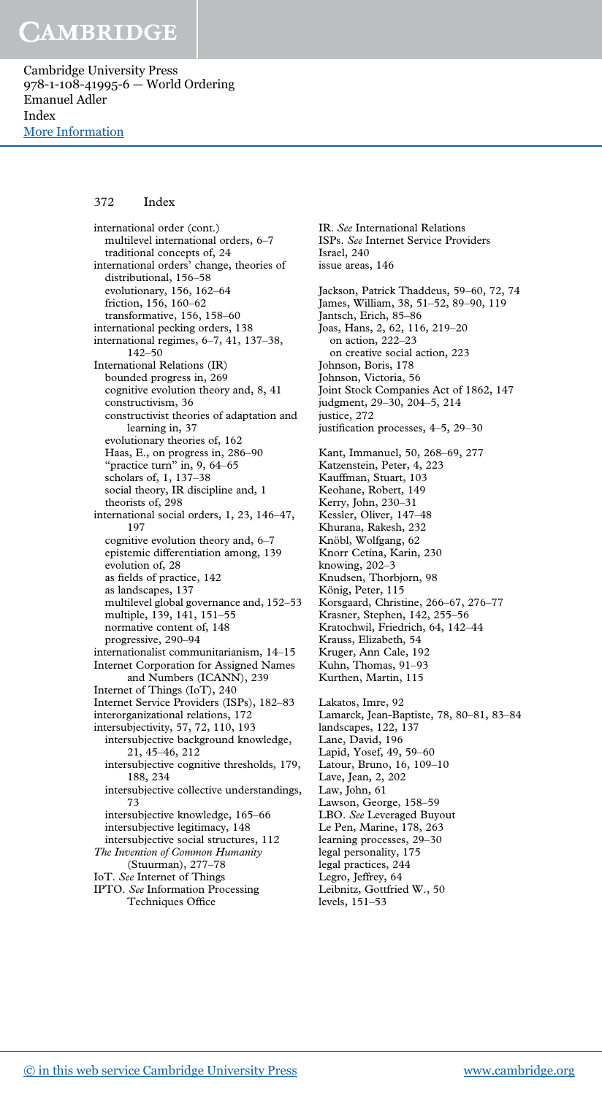Cambridge University Press 978-1-108-41995-6 — World Ordering Emanuel Adler Index [More Information](www.cambridge.org/9781108419956)

### 372 Index

international order (cont.) multilevel international orders, 6–7 traditional concepts of, 24 international orders' change, theories of distributional, 156–58 evolutionary, 156, 162–64 friction, 156, 160–62 transformative, 156, 158–60 international pecking orders, 138 international regimes, 6–7, 41, 137–38, 142–50 International Relations (IR) bounded progress in, 269 cognitive evolution theory and, 8, 41 constructivism, 36 constructivist theories of adaptation and learning in, 37 evolutionary theories of, 162 Haas, E., on progress in, 286–90 "practice turn" in,  $9, 64-65$ scholars of, 1, 137–38 social theory, IR discipline and, 1 theorists of, 298 international social orders, 1, 23, 146–47, 197 cognitive evolution theory and, 6–7 epistemic differentiation among, 139 evolution of, 28 as fields of practice, 142 as landscapes, 137 multilevel global governance and, 152–53 multiple, 139, 141, 151–55 normative content of, 148 progressive, 290–94 internationalist communitarianism, 14–15 Internet Corporation for Assigned Names and Numbers (ICANN), 239 Internet of Things (IoT), 240 Internet Service Providers (ISPs), 182–83 interorganizational relations, 172 intersubjectivity, 57, 72, 110, 193 intersubjective background knowledge, 21, 45–46, 212 intersubjective cognitive thresholds, 179, 188, 234 intersubjective collective understandings, 73 intersubjective knowledge, 165–66 intersubjective legitimacy, 148 intersubjective social structures, 112 *The Invention of Common Humanity* (Stuurman), 277–78 IoT. *See* Internet of Things IPTO. *See* Information Processing Techniques Office

IR. *See* International Relations ISPs. *See* Internet Service Providers Israel, 240 issue areas, 146 Jackson, Patrick Thaddeus, 59–60, 72, 74 James, William, 38, 51–52, 89–90, 119 Jantsch, Erich, 85–86 Joas, Hans, 2, 62, 116, 219–20 on action, 222–23 on creative social action, 223 Johnson, Boris, 178 Johnson, Victoria, 56 Joint Stock Companies Act of 1862, 147 judgment, 29–30, 204–5, 214 justice, 272 justification processes, 4–5, 29–30 Kant, Immanuel, 50, 268–69, 277 Katzenstein, Peter, 4, 223 Kauffman, Stuart, 103 Keohane, Robert, 149 Kerry, John, 230–31 Kessler, Oliver, 147–48 Khurana, Rakesh, 232 Knöbl, Wolfgang, 62 Knorr Cetina, Karin, 230 knowing, 202–3 Knudsen, Thorbjorn, 98 König, Peter, 115 Korsgaard, Christine, 266–67, 276–77 Krasner, Stephen, 142, 255–56 Kratochwil, Friedrich, 64, 142–44 Krauss, Elizabeth, 54 Kruger, Ann Cale, 192 Kuhn, Thomas, 91–93 Kurthen, Martin, 115 Lakatos, Imre, 92 Lamarck, Jean-Baptiste, 78, 80–81, 83–84 landscapes, 122, 137 Lane, David, 196 Lapid, Yosef, 49, 59–60 Latour, Bruno, 16, 109–10 Lave, Jean, 2, 202 Law, John, 61 Lawson, George, 158–59 LBO. *See* Leveraged Buyout Le Pen, Marine, 178, 263 learning processes, 29–30 legal personality, 175 legal practices, 244 Legro, Jeffrey, 64 Leibnitz, Gottfried W., 50 levels, 151–53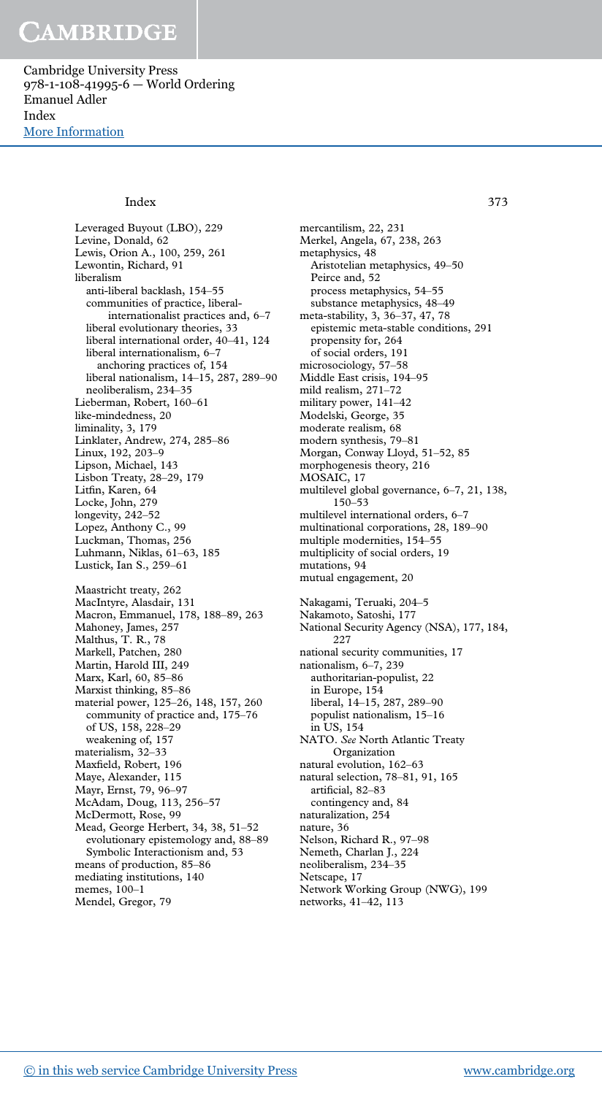Cambridge University Press 978-1-108-41995-6 — World Ordering Emanuel Adler Index [More Information](www.cambridge.org/9781108419956)

#### Index 373

Leveraged Buyout (LBO), 229 Levine, Donald, 62 Lewis, Orion A., 100, 259, 261 Lewontin, Richard, 91 liberalism anti-liberal backlash, 154–55 communities of practice, liberalinternationalist practices and, 6–7 liberal evolutionary theories, 33 liberal international order, 40–41, 124 liberal internationalism, 6–7 anchoring practices of, 154 liberal nationalism, 14–15, 287, 289–90 neoliberalism, 234–35 Lieberman, Robert, 160–61 like-mindedness, 20 liminality, 3, 179 Linklater, Andrew, 274, 285–86 Linux, 192, 203–9 Lipson, Michael, 143 Lisbon Treaty, 28–29, 179 Litfin, Karen, 64 Locke, John, 279 longevity, 242–52 Lopez, Anthony C., 99 Luckman, Thomas, 256 Luhmann, Niklas, 61–63, 185 Lustick, Ian S., 259–61 Maastricht treaty, 262 MacIntyre, Alasdair, 131 Macron, Emmanuel, 178, 188–89, 263 Mahoney, James, 257 Malthus, T. R., 78 Markell, Patchen, 280 Martin, Harold III, 249 Marx, Karl, 60, 85–86 Marxist thinking, 85–86 material power, 125–26, 148, 157, 260 community of practice and, 175–76 of US, 158, 228–29 weakening of, 157 materialism, 32–33 Maxfield, Robert, 196 Maye, Alexander, 115 Mayr, Ernst, 79, 96–97 McAdam, Doug, 113, 256–57 McDermott, Rose, 99 Mead, George Herbert, 34, 38, 51–52 evolutionary epistemology and, 88–89 Symbolic Interactionism and, 53 means of production, 85–86 mediating institutions, 140 memes, 100–1 Mendel, Gregor, 79

mercantilism, 22, 231 Merkel, Angela, 67, 238, 263 metaphysics, 48 Aristotelian metaphysics, 49–50 Peirce and, 52 process metaphysics, 54–55 substance metaphysics, 48–49 meta-stability, 3, 36–37, 47, 78 epistemic meta-stable conditions, 291 propensity for, 264 of social orders, 191 microsociology, 57–58 Middle East crisis, 194–95 mild realism, 271–72 military power, 141–42 Modelski, George, 35 moderate realism, 68 modern synthesis, 79–81 Morgan, Conway Lloyd, 51–52, 85 morphogenesis theory, 216 MOSAIC, 17 multilevel global governance, 6–7, 21, 138, 150–53 multilevel international orders, 6–7 multinational corporations, 28, 189–90 multiple modernities, 154–55 multiplicity of social orders, 19 mutations, 94 mutual engagement, 20 Nakagami, Teruaki, 204–5 Nakamoto, Satoshi, 177 National Security Agency (NSA), 177, 184, 227 national security communities, 17 nationalism, 6–7, 239 authoritarian-populist, 22 in Europe, 154 liberal, 14–15, 287, 289–90 populist nationalism, 15–16 in US, 154 NATO. *See* North Atlantic Treaty Organization natural evolution, 162–63 natural selection, 78–81, 91, 165 artificial, 82–83 contingency and, 84 naturalization, 254 nature, 36 Nelson, Richard R., 97–98 Nemeth, Charlan J., 224

neoliberalism, 234–35

Netscape, 17

Network Working Group (NWG), 199 networks, 41–42, 113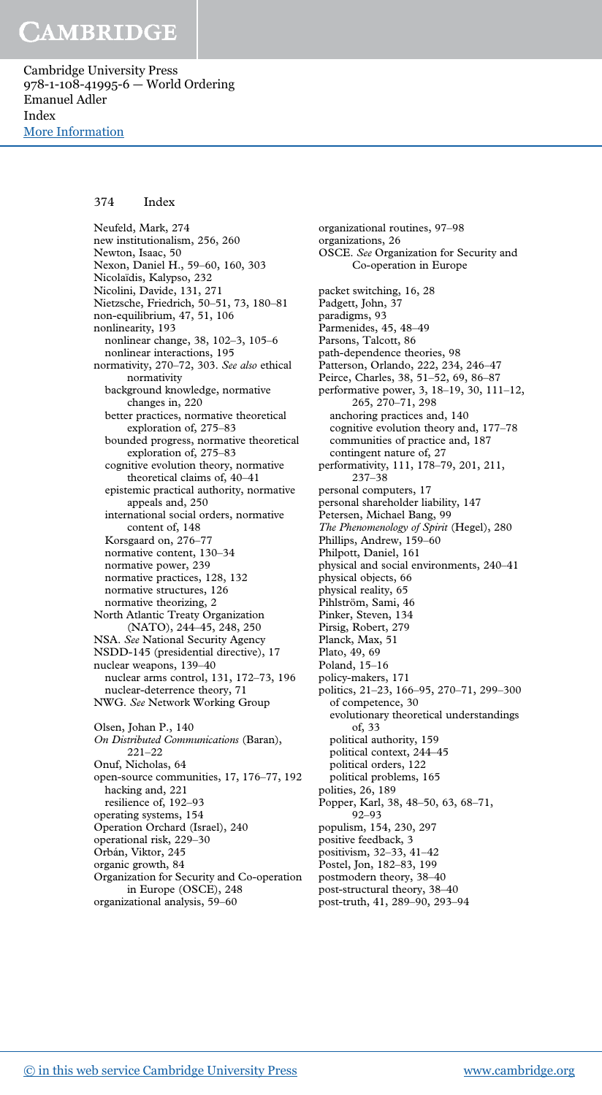Cambridge University Press 978-1-108-41995-6 — World Ordering Emanuel Adler Index [More Information](www.cambridge.org/9781108419956)

#### 374 Index

Neufeld, Mark, 274 new institutionalism, 256, 260 Newton, Isaac, 50 Nexon, Daniel H., 59–60, 160, 303 Nicolaïdis, Kalypso, 232 Nicolini, Davide, 131, 271 Nietzsche, Friedrich, 50–51, 73, 180–81 non-equilibrium, 47, 51, 106 nonlinearity, 193 nonlinear change, 38, 102–3, 105–6 nonlinear interactions, 195 normativity, 270–72, 303. *See also* ethical normativity background knowledge, normative changes in, 220 better practices, normative theoretical exploration of, 275–83 bounded progress, normative theoretical exploration of, 275–83 cognitive evolution theory, normative theoretical claims of, 40–41 epistemic practical authority, normative appeals and, 250 international social orders, normative content of, 148 Korsgaard on, 276–77 normative content, 130–34 normative power, 239 normative practices, 128, 132 normative structures, 126 normative theorizing, 2 North Atlantic Treaty Organization (NATO), 244–45, 248, 250 NSA. *See* National Security Agency NSDD-145 (presidential directive), 17 nuclear weapons, 139–40 nuclear arms control, 131, 172–73, 196 nuclear-deterrence theory, 71 NWG. *See* Network Working Group Olsen, Johan P., 140 *On Distributed Communications* (Baran), 221–22 Onuf, Nicholas, 64 open-source communities, 17, 176–77, 192 hacking and, 221 resilience of, 192–93 operating systems, 154 Operation Orchard (Israel), 240 operational risk, 229–30 Orbán, Viktor, 245 organic growth, 84 Organization for Security and Co-operation in Europe (OSCE), 248 organizational analysis, 59–60

organizational routines, 97–98 organizations, 26 OSCE. *See* Organization for Security and Co-operation in Europe packet switching, 16, 28 Padgett, John, 37 paradigms, 93 Parmenides, 45, 48–49 Parsons, Talcott, 86 path-dependence theories, 98 Patterson, Orlando, 222, 234, 246–47 Peirce, Charles, 38, 51–52, 69, 86–87 performative power, 3, 18–19, 30, 111–12, 265, 270–71, 298 anchoring practices and, 140 cognitive evolution theory and, 177–78 communities of practice and, 187 contingent nature of, 27 performativity, 111, 178–79, 201, 211, 237–38 personal computers, 17 personal shareholder liability, 147 Petersen, Michael Bang, 99 *The Phenomenology of Spirit* (Hegel), 280 Phillips, Andrew, 159–60 Philpott, Daniel, 161 physical and social environments, 240–41 physical objects, 66 physical reality, 65 Pihlström, Sami, 46 Pinker, Steven, 134 Pirsig, Robert, 279 Planck, Max, 51 Plato, 49, 69 Poland, 15–16 policy-makers, 171 politics, 21–23, 166–95, 270–71, 299–300 of competence, 30 evolutionary theoretical understandings of, 33 political authority, 159 political context, 244–45 political orders, 122 political problems, 165 polities, 26, 189 Popper, Karl, 38, 48–50, 63, 68–71, 92–93 populism, 154, 230, 297 positive feedback, 3 positivism, 32–33, 41–42 Postel, Jon, 182–83, 199 postmodern theory, 38–40 post-structural theory, 38–40 post-truth, 41, 289–90, 293–94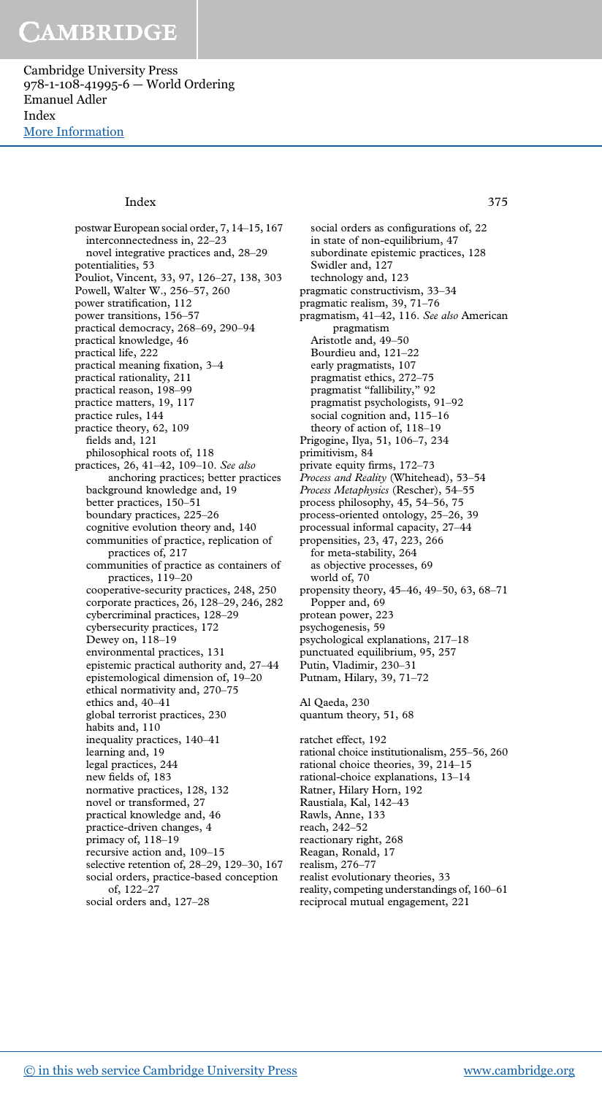Cambridge University Press 978-1-108-41995-6 — World Ordering Emanuel Adler Index [More Information](www.cambridge.org/9781108419956)

#### Index 375

postwar European social order, 7, 14–15, 167 interconnectedness in, 22–23 novel integrative practices and, 28–29 potentialities, 53 Pouliot, Vincent, 33, 97, 126–27, 138, 303 Powell, Walter W., 256–57, 260 power stratification, 112 power transitions, 156–57 practical democracy, 268–69, 290–94 practical knowledge, 46 practical life, 222 practical meaning fixation, 3–4 practical rationality, 211 practical reason, 198–99 practice matters, 19, 117 practice rules, 144 practice theory, 62, 109 fields and, 121 philosophical roots of, 118 practices, 26, 41–42, 109–10. *See also* anchoring practices; better practices background knowledge and, 19 better practices, 150–51 boundary practices, 225–26 cognitive evolution theory and, 140 communities of practice, replication of practices of, 217 communities of practice as containers of practices, 119–20 cooperative-security practices, 248, 250 corporate practices, 26, 128–29, 246, 282 cybercriminal practices, 128–29 cybersecurity practices, 172 Dewey on, 118–19 environmental practices, 131 epistemic practical authority and, 27–44 epistemological dimension of, 19–20 ethical normativity and, 270–75 ethics and, 40–41 global terrorist practices, 230 habits and, 110 inequality practices, 140–41 learning and, 19 legal practices, 244 new fields of, 183 normative practices, 128, 132 novel or transformed, 27 practical knowledge and, 46 practice-driven changes, 4 primacy of, 118–19 recursive action and, 109–15 selective retention of, 28–29, 129–30, 167 social orders, practice-based conception of, 122–27 social orders and, 127–28

social orders as configurations of, 22 in state of non-equilibrium, 47 subordinate epistemic practices, 128 Swidler and, 127 technology and, 123 pragmatic constructivism, 33–34 pragmatic realism, 39, 71–76 pragmatism, 41–42, 116. *See also* American pragmatism Aristotle and, 49–50 Bourdieu and, 121–22 early pragmatists, 107 pragmatist ethics, 272–75 pragmatist "fallibility," 92 pragmatist psychologists, 91–92 social cognition and, 115–16 theory of action of, 118–19 Prigogine, Ilya, 51, 106–7, 234 primitivism, 84 private equity firms, 172–73 *Process and Reality* (Whitehead), 53–54 *Process Metaphysics* (Rescher), 54–55 process philosophy, 45, 54–56, 75 process-oriented ontology, 25–26, 39 processual informal capacity, 27–44 propensities, 23, 47, 223, 266 for meta-stability, 264 as objective processes, 69 world of, 70 propensity theory, 45–46, 49–50, 63, 68–71 Popper and, 69 protean power, 223 psychogenesis, 59 psychological explanations, 217–18 punctuated equilibrium, 95, 257 Putin, Vladimir, 230–31 Putnam, Hilary, 39, 71–72 Al Qaeda, 230 quantum theory, 51, 68 ratchet effect, 192 rational choice institutionalism, 255–56, 260 rational choice theories, 39, 214–15 rational-choice explanations, 13–14 Ratner, Hilary Horn, 192 Raustiala, Kal, 142–43 Rawls, Anne, 133 reach, 242–52 reactionary right, 268 Reagan, Ronald, 17 realism, 276–77 realist evolutionary theories, 33

reality, competing understandings of, 160–61 reciprocal mutual engagement, 221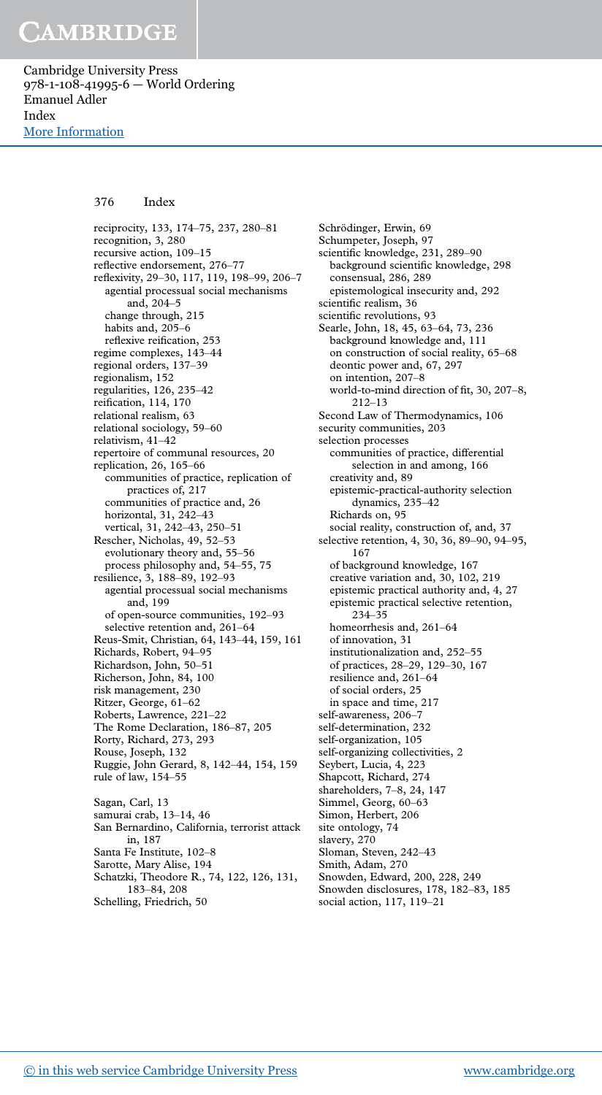Cambridge University Press 978-1-108-41995-6 — World Ordering Emanuel Adler Index [More Information](www.cambridge.org/9781108419956)

### 376 Index

reciprocity, 133, 174–75, 237, 280–81 recognition, 3, 280 recursive action, 109–15 reflective endorsement, 276–77 reflexivity, 29–30, 117, 119, 198–99, 206–7 agential processual social mechanisms and, 204–5 change through, 215 habits and, 205–6 reflexive reification, 253 regime complexes, 143–44 regional orders, 137–39 regionalism, 152 regularities, 126, 235–42 reification, 114, 170 relational realism, 63 relational sociology, 59–60 relativism, 41–42 repertoire of communal resources, 20 replication, 26, 165–66 communities of practice, replication of practices of, 217 communities of practice and, 26 horizontal, 31, 242–43 vertical, 31, 242–43, 250–51 Rescher, Nicholas, 49, 52–53 evolutionary theory and, 55–56 process philosophy and, 54–55, 75 resilience, 3, 188–89, 192–93 agential processual social mechanisms and, 199 of open-source communities, 192–93 selective retention and, 261–64 Reus-Smit, Christian, 64, 143–44, 159, 161 Richards, Robert, 94–95 Richardson, John, 50–51 Richerson, John, 84, 100 risk management, 230 Ritzer, George, 61–62 Roberts, Lawrence, 221–22 The Rome Declaration, 186–87, 205 Rorty, Richard, 273, 293 Rouse, Joseph, 132 Ruggie, John Gerard, 8, 142–44, 154, 159 rule of law, 154–55 Sagan, Carl, 13 samurai crab, 13–14, 46 San Bernardino, California, terrorist attack in, 187 Santa Fe Institute, 102–8

consensual, 286, 289 epistemological insecurity and, 292 scientific realism, 36 scientific revolutions, 93 Searle, John, 18, 45, 63–64, 73, 236 background knowledge and, 111 on construction of social reality, 65–68 deontic power and, 67, 297 on intention, 207–8 world-to-mind direction of fit, 30, 207–8, 212–13 Second Law of Thermodynamics, 106 security communities, 203 selection processes communities of practice, differential selection in and among, 166 creativity and, 89 epistemic-practical-authority selection dynamics, 235–42 Richards on, 95 social reality, construction of, and, 37 selective retention, 4, 30, 36, 89–90, 94–95, 167 of background knowledge, 167 creative variation and, 30, 102, 219 epistemic practical authority and, 4, 27 epistemic practical selective retention, 234–35 homeorrhesis and, 261–64 of innovation, 31 institutionalization and, 252–55 of practices, 28–29, 129–30, 167 resilience and, 261–64 of social orders, 25 in space and time, 217 self-awareness, 206–7 self-determination, 232 self-organization, 105 self-organizing collectivities, 2 Seybert, Lucia, 4, 223 Shapcott, Richard, 274 shareholders, 7–8, 24, 147 Simmel, Georg, 60–63 Simon, Herbert, 206 site ontology, 74 slavery, 270 Sloman, Steven, 242–43 Smith, Adam, 270 Snowden, Edward, 200, 228, 249 Snowden disclosures, 178, 182–83, 185

social action, 117, 119–21

Schrödinger, Erwin, 69 Schumpeter, Joseph, 97 scientific knowledge, 231, 289–90 background scientific knowledge, 298

Sarotte, Mary Alise, 194

183–84, 208 Schelling, Friedrich, 50

Schatzki, Theodore R., 74, 122, 126, 131,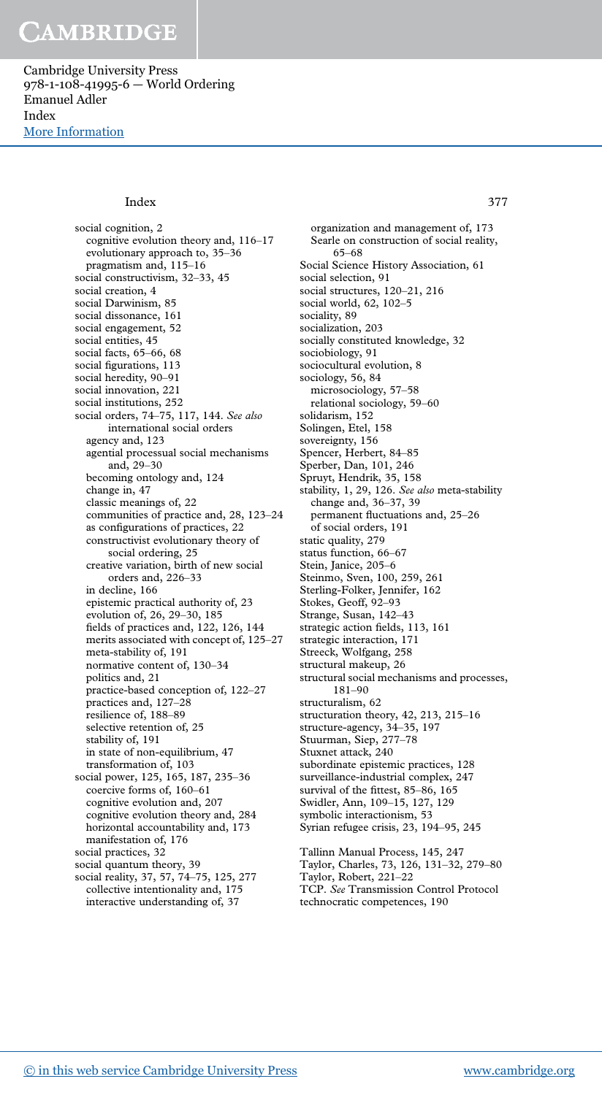Cambridge University Press 978-1-108-41995-6 — World Ordering Emanuel Adler Index [More Information](www.cambridge.org/9781108419956)

#### Index 377

social cognition, 2 cognitive evolution theory and, 116–17 evolutionary approach to, 35–36 pragmatism and, 115–16 social constructivism, 32–33, 45 social creation, 4 social Darwinism, 85 social dissonance, 161 social engagement, 52 social entities, 45 social facts, 65–66, 68 social figurations, 113 social heredity, 90–91 social innovation, 221 social institutions, 252 social orders, 74–75, 117, 144. *See also* international social orders agency and, 123 agential processual social mechanisms and, 29–30 becoming ontology and, 124 change in, 47 classic meanings of, 22 communities of practice and, 28, 123–24 as configurations of practices, 22 constructivist evolutionary theory of social ordering, 25 creative variation, birth of new social orders and, 226–33 in decline, 166 epistemic practical authority of, 23 evolution of, 26, 29–30, 185 fields of practices and, 122, 126, 144 merits associated with concept of, 125–27 meta-stability of, 191 normative content of, 130–34 politics and, 21 practice-based conception of, 122–27 practices and, 127–28 resilience of, 188–89 selective retention of, 25 stability of, 191 in state of non-equilibrium, 47 transformation of, 103 social power, 125, 165, 187, 235–36 coercive forms of, 160–61 cognitive evolution and, 207 cognitive evolution theory and, 284 horizontal accountability and, 173 manifestation of, 176 social practices, 32 social quantum theory, 39 social reality, 37, 57, 74–75, 125, 277

collective intentionality and, 175 interactive understanding of, 37

organization and management of, 173 Searle on construction of social reality, 65–68 Social Science History Association, 61 social selection, 91 social structures, 120–21, 216 social world, 62, 102–5 sociality, 89 socialization, 203 socially constituted knowledge, 32 sociobiology, 91 sociocultural evolution, 8 sociology, 56, 84 microsociology, 57–58 relational sociology, 59–60 solidarism, 152 Solingen, Etel, 158 sovereignty, 156 Spencer, Herbert, 84–85 Sperber, Dan, 101, 246 Spruyt, Hendrik, 35, 158 stability, 1, 29, 126. *See also* meta-stability change and, 36–37, 39 permanent fluctuations and, 25–26 of social orders, 191 static quality, 279 status function, 66–67 Stein, Janice, 205–6 Steinmo, Sven, 100, 259, 261 Sterling-Folker, Jennifer, 162 Stokes, Geoff, 92–93 Strange, Susan, 142–43 strategic action fields, 113, 161 strategic interaction, 171 Streeck, Wolfgang, 258 structural makeup, 26 structural social mechanisms and processes, 181–90 structuralism, 62 structuration theory, 42, 213, 215–16 structure-agency, 34-35, 197 Stuurman, Siep, 277–78 Stuxnet attack, 240 subordinate epistemic practices, 128 surveillance-industrial complex, 247 survival of the fittest, 85–86, 165 Swidler, Ann, 109–15, 127, 129 symbolic interactionism, 53 Syrian refugee crisis, 23, 194–95, 245 Tallinn Manual Process, 145, 247 Taylor, Charles, 73, 126, 131–32, 279–80 Taylor, Robert, 221–22

TCP. *See* Transmission Control Protocol technocratic competences, 190